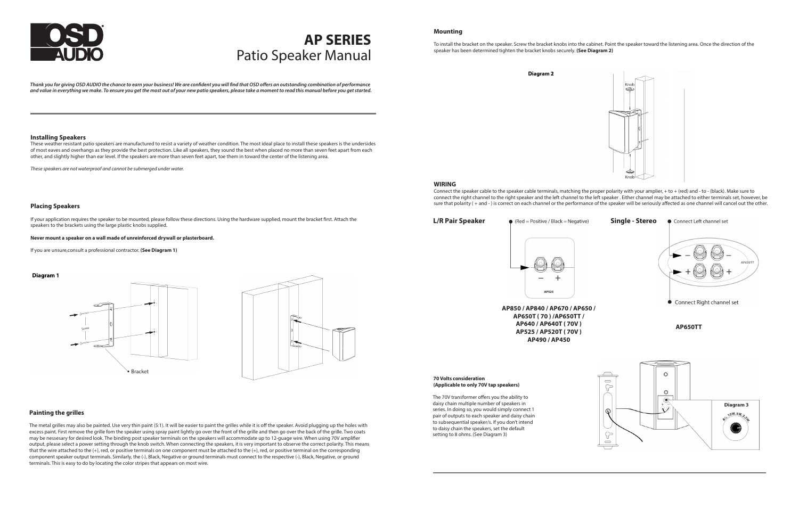# Patio Speaker Manual **AP SERIES**

*Thank you for giving OSD AUDIO the chance to earn your business! We are confident you will find that OSD offers an outstanding combination of performance and value in everything we make. To ensure you get the most out of your new patio speakers, please take a moment to read this manual before you get started.*

## **Installing Speakers**

These weather resistant patio speakers are manufactured to resist a variety of weather condition. The most ideal place to install these speakers is the undersides of most eaves and overhangs as they provide the best protection. Like all speakers, they sound the best when placed no more than seven feet apart from each other, and slightly higher than ear level. If the speakers are more than seven feet apart, toe them in toward the center of the listening area.

*These speakers are not waterproof and cannot be submerged under water.*

## **Placing Speakers**

If your application requires the speaker to be mounted, please follow these directions. Using the hardware supplied, mount the bracket first. Attach the speakers to the brackets using the large plastic knobs supplied.

**Never mount a speaker on a wall made of unreinforced drywall or plasterboard.** 

If you are unsure,consult a professional contractor. **(See Diagram 1)**

## Diagram 1





## **Painting the grilles**

The metal grilles may also be painted. Use very thin paint (5:1). It will be easier to paint the grilles while it is off the speaker. Avoid plugging up the holes with excess paint. First remove the grille fom the speaker using spray paint lightly go over the front of the grille and then go over the back of the grille. Two coats may be nessesary for desired look. The binding post speaker terminals on the speakers will accommodate up to 12-guage wire. When using 70V amplifier output, please select a power setting through the knob switch. When connecting the speakers, it is very important to observe the correct polarity. This means that the wire attached to the (+), red, or positive terminals on one component must be attached to the (+), red, or positive terminal on the corresponding component speaker output terminals. Similarly, the (-), Black, Negative or ground terminals must connect to the respective (-), Black, Negative, or ground terminals. This is easy to do by locating the color stripes that appears on most wire.

## **Mounting**

To install the bracket on the speaker. Screw the bracket knobs into the cabinet. Point the speaker toward the listening area. Once the direction of the speaker has been determined tighten the bracket knobs securely. **(See Diagram 2)**

Diagram<sub>2</sub>

#### **WIRING**

Connect the speaker cable to the speaker cable terminals, matching the proper polarity with your amplier, + to + (red) and - to - (black). Make sure to connect the right channel to the right speaker and the left channel to the left speaker . Either channel may be attached to either terminals set, however, be sure that polarity ( + and - ) is correct on each channel or the performance of the speaker will be seriously affected as one channel will cancel out the other.

**L/R Pair Speaker**

### $\bullet$  (Red = Positive / Black = Negative)

#### **70 Volts consideration (Applicable to only 70V tap speakers)**

The 70V transformer offers you the ability to daisy chain multiple number of speakers in series. In doing so, you would simply connect 1 pair of outputs to each speaker and daisy chain to subsequential speaker/s. If you don't intend to daisy chain the speakers, set the default setting to 8 ohms. (See Diagram 3)





**AP850 / AP840 / AP670 / AP650 / AP650T ( 70 ) /AP650TT / AP640 / AP640T ( 70V ) AP525 / AP520T ( 70V ) AP490 / AP450**



**AP650TT**